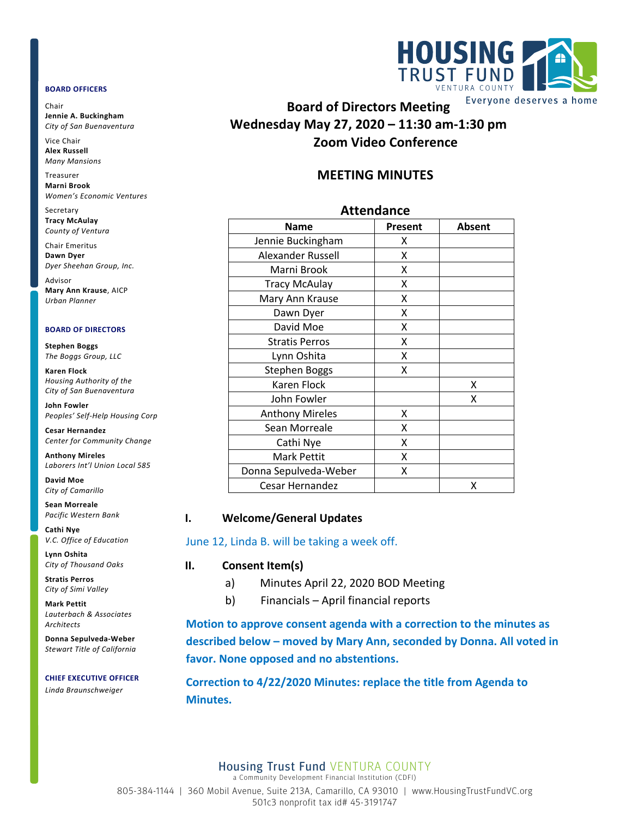#### **BOARD OFFICERS**

Chair **Jennie A. Buckingham** *City of San Buenaventura*

Vice Chair **Alex Russell** *Many Mansions*

Treasurer **Marni Brook** *Women's Economic Ventures*

Secretary **Tracy McAulay** *County of Ventura*

Chair Emeritus **Dawn Dyer** *Dyer Sheehan Group, Inc.*

Advisor **Mary Ann Krause**, AICP *Urban Planner*

#### **BOARD OF DIRECTORS**

**Stephen Boggs** *The Boggs Group, LLC* 

**Karen Flock** *Housing Authority of the City of San Buenaventura*

**John Fowler** *Peoples' Self-Help Housing Corp*

**Cesar Hernandez** *Center for Community Change*

**Anthony Mireles** *Laborers Int'l Union Local 585*

**David Moe** *City of Camarillo*

**Sean Morreale** *Pacific Western Bank*

**Cathi Nye** *V.C. Office of Education*

**Lynn Oshita** *City of Thousand Oaks*

**Stratis Perros** *City of Simi Valley*

**Mark Pettit** *Lauterbach & Associates Architects*

**Donna Sepulveda-Weber** *Stewart Title of California*

#### **CHIEF EXECUTIVE OFFICER**

*Linda Braunschweiger*



**Board of Directors Meeting Wednesday May 27, 2020 – 11:30 am-1:30 pm Zoom Video Conference**

# **MEETING MINUTES**

### **Attendance**

| <b>Name</b>            | Present | <b>Absent</b> |
|------------------------|---------|---------------|
| Jennie Buckingham      | x       |               |
| Alexander Russell      | X       |               |
| Marni Brook            | x       |               |
| <b>Tracy McAulay</b>   | Χ       |               |
| Mary Ann Krause        | X       |               |
| Dawn Dyer              | X       |               |
| David Moe              | X       |               |
| <b>Stratis Perros</b>  | X       |               |
| Lynn Oshita            | x       |               |
| <b>Stephen Boggs</b>   | X       |               |
| Karen Flock            |         | X             |
| John Fowler            |         | χ             |
| <b>Anthony Mireles</b> | X       |               |
| Sean Morreale          | X       |               |
| Cathi Nye              | X       |               |
| Mark Pettit            | X       |               |
| Donna Sepulveda-Weber  | x       |               |
| Cesar Hernandez        |         | χ             |

### **I. Welcome/General Updates**

### June 12, Linda B. will be taking a week off.

### **II. Consent Item(s)**

- a) Minutes April 22, 2020 BOD Meeting
- b) Financials April financial reports

**Motion to approve consent agenda with a correction to the minutes as described below – moved by Mary Ann, seconded by Donna. All voted in favor. None opposed and no abstentions.** 

**Correction to 4/22/2020 Minutes: replace the title from Agenda to Minutes.**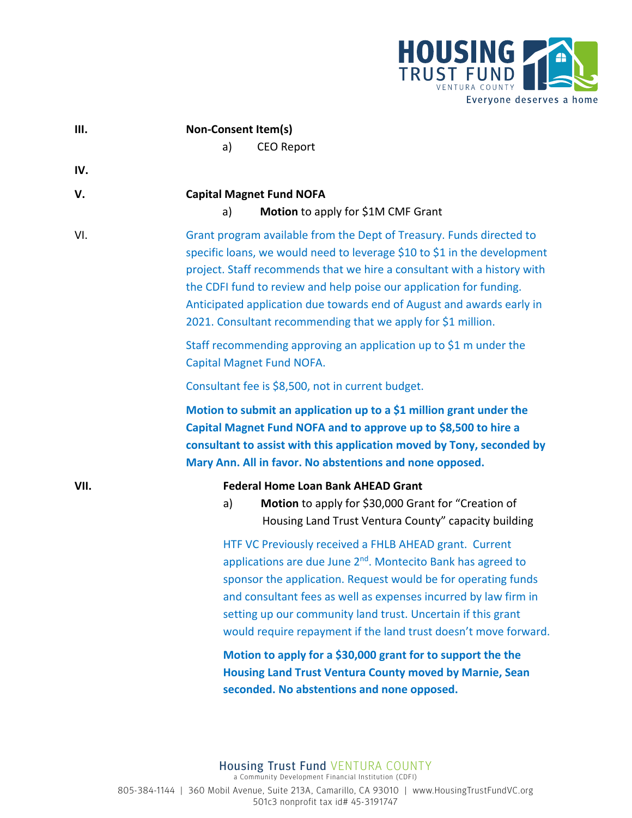

| III. | <b>Non-Consent Item(s)</b>                                                                                                                                                                                                                                                                                                                                                                                                                  |  |
|------|---------------------------------------------------------------------------------------------------------------------------------------------------------------------------------------------------------------------------------------------------------------------------------------------------------------------------------------------------------------------------------------------------------------------------------------------|--|
|      | <b>CEO Report</b><br>a)                                                                                                                                                                                                                                                                                                                                                                                                                     |  |
| IV.  |                                                                                                                                                                                                                                                                                                                                                                                                                                             |  |
| V.   | <b>Capital Magnet Fund NOFA</b>                                                                                                                                                                                                                                                                                                                                                                                                             |  |
|      | Motion to apply for \$1M CMF Grant<br>a)                                                                                                                                                                                                                                                                                                                                                                                                    |  |
| VI.  | Grant program available from the Dept of Treasury. Funds directed to<br>specific loans, we would need to leverage \$10 to \$1 in the development<br>project. Staff recommends that we hire a consultant with a history with<br>the CDFI fund to review and help poise our application for funding.<br>Anticipated application due towards end of August and awards early in<br>2021. Consultant recommending that we apply for \$1 million. |  |
|      | Staff recommending approving an application up to \$1 m under the<br><b>Capital Magnet Fund NOFA.</b>                                                                                                                                                                                                                                                                                                                                       |  |
|      | Consultant fee is \$8,500, not in current budget.                                                                                                                                                                                                                                                                                                                                                                                           |  |
|      | Motion to submit an application up to a \$1 million grant under the<br>Capital Magnet Fund NOFA and to approve up to \$8,500 to hire a<br>consultant to assist with this application moved by Tony, seconded by<br>Mary Ann. All in favor. No abstentions and none opposed.                                                                                                                                                                 |  |
| VII. | <b>Federal Home Loan Bank AHEAD Grant</b><br>Motion to apply for \$30,000 Grant for "Creation of<br>a)<br>Housing Land Trust Ventura County" capacity building                                                                                                                                                                                                                                                                              |  |
|      | HTF VC Previously received a FHLB AHEAD grant. Current<br>applications are due June 2 <sup>nd</sup> . Montecito Bank has agreed to<br>sponsor the application. Request would be for operating funds<br>and consultant fees as well as expenses incurred by law firm in<br>setting up our community land trust. Uncertain if this grant<br>would require repayment if the land trust doesn't move forward.                                   |  |
|      | Motion to apply for a \$30,000 grant for to support the the<br><b>Housing Land Trust Ventura County moved by Marnie, Sean</b><br>seconded. No abstentions and none opposed.                                                                                                                                                                                                                                                                 |  |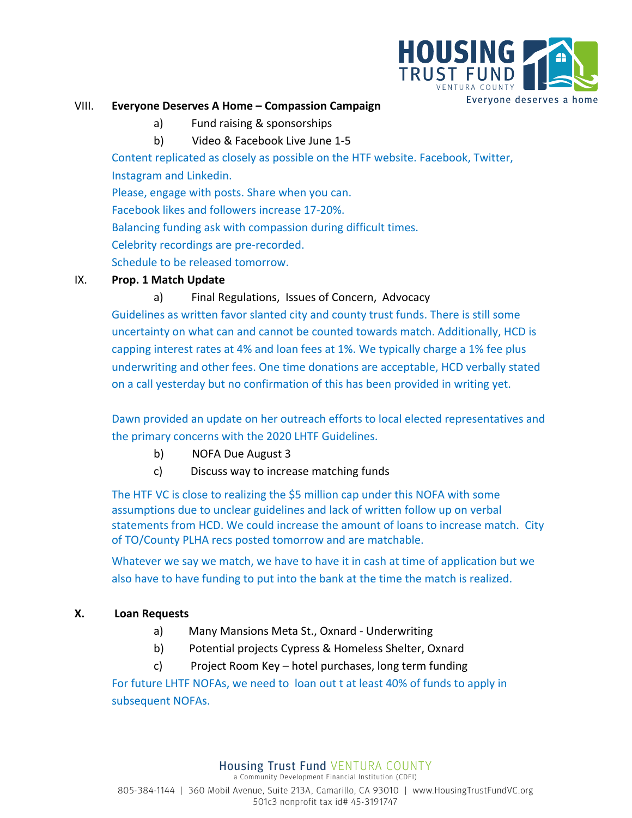

### VIII. **Everyone Deserves A Home – Compassion Campaign**

a) Fund raising & sponsorships

b) Video & Facebook Live June 1-5

Content replicated as closely as possible on the HTF website. Facebook, Twitter, Instagram and Linkedin. Please, engage with posts. Share when you can. Facebook likes and followers increase 17-20%. Balancing funding ask with compassion during difficult times.

Celebrity recordings are pre-recorded.

Schedule to be released tomorrow.

## IX. **Prop. 1 Match Update**

# a) Final Regulations, Issues of Concern, Advocacy

Guidelines as written favor slanted city and county trust funds. There is still some uncertainty on what can and cannot be counted towards match. Additionally, HCD is capping interest rates at 4% and loan fees at 1%. We typically charge a 1% fee plus underwriting and other fees. One time donations are acceptable, HCD verbally stated on a call yesterday but no confirmation of this has been provided in writing yet.

Dawn provided an update on her outreach efforts to local elected representatives and the primary concerns with the 2020 LHTF Guidelines.

- b) NOFA Due August 3
- c) Discuss way to increase matching funds

The HTF VC is close to realizing the \$5 million cap under this NOFA with some assumptions due to unclear guidelines and lack of written follow up on verbal statements from HCD. We could increase the amount of loans to increase match. City of TO/County PLHA recs posted tomorrow and are matchable.

Whatever we say we match, we have to have it in cash at time of application but we also have to have funding to put into the bank at the time the match is realized.

# **X. Loan Requests**

- a)Many Mansions Meta St., Oxnard Underwriting
- b)Potential projects Cypress & Homeless Shelter, Oxnard
- c) Project Room Key hotel purchases, long term funding

For future LHTF NOFAs, we need to loan out t at least 40% of funds to apply in subsequent NOFAs.